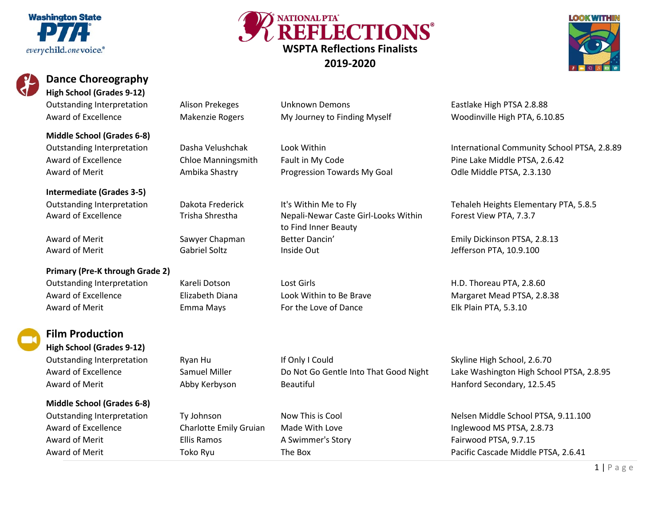



## **High School (Grades 9-12)**

Outstanding Interpretation alison Prekeges Unknown Demons Fastlake High PTSA 2.8.88

**Middle School (Grades 6-8)** Award of Merit **Ambika Shastry Component Ambika Shastry** Progression Towards My Goal Odle Middle PTSA, 2.3.130

**Intermediate (Grades 3-5)**

**Primary (Pre-K through Grade 2)** Outstanding Interpretation Kareli Dotson Lost Girls Lost Girls H.D. Thoreau PTA, 2.8.60 Award of Excellence **Elizabeth Diana** Look Within to Be Brave Margaret Mead PTSA, 2.8.38 Award of Merit **Emma Mays** For the Love of Dance **Elk Plain PTA, 5.3.10** 



#### **Film Production High School (Grades 9-12)**

**Middle School (Grades 6-8)**

Award of Merit **Ellis Ramos** A Swimmer's Story **A Swimmer's Story** Fairwood PTSA, 9.7.15

Outstanding Interpretation **Dakota Frederick** It's Within Me to Fly **Interpretation** Tehaleh Heights Elementary PTA, 5.8.5 Award of Excellence Trisha Shrestha Nepali-Newar Caste Girl-Looks Within to Find Inner Beauty Award of Merit Sawyer Chapman Better Dancin' Emily Dickinson PTSA, 2.8.13 Award of Merit **Auchen Cabriel Soltz** Inside Out **Inside Out Inside Out Inside Out Inside Out Jefferson PTA, 10.9.100** 

**WSPTA Reflections Finalists 2019-2020**

NATIONAL PTA' REFLECTIONS®

Award of Excellence **Makenzie Rogers** My Journey to Finding Myself Woodinville High PTA, 6.10.85

Outstanding Interpretation Dasha Velushchak Look Within International Community School PTSA, 2.8.89 Award of Excellence **Chloe Manningsmith** Fault in My Code Pine Lake Middle PTSA, 2.6.42

Forest View PTA, 7.3.7

Award of Excellence Samuel Miller Do Not Go Gentle Into That Good Night Lake Washington High School PTSA, 2.8.95 Award of Merit **Abby Kerbyson** Beautiful Hanford Secondary, 12.5.45

Outstanding Interpretation Ty Johnson Now This is Cool Nelsen Middle School PTSA, 9.11.100 Award of Excellence **Charlotte Emily Gruian** Made With Love **Inglewood MS PTSA, 2.8.73** Award of Merit **Example 2.6.41** Toko Ryu The Box **The Box** Pacific Cascade Middle PTSA, 2.6.41

# Outstanding Interpretation and Ryan Hu If Only I Could Skyline High School, 2.6.70

1 | Page

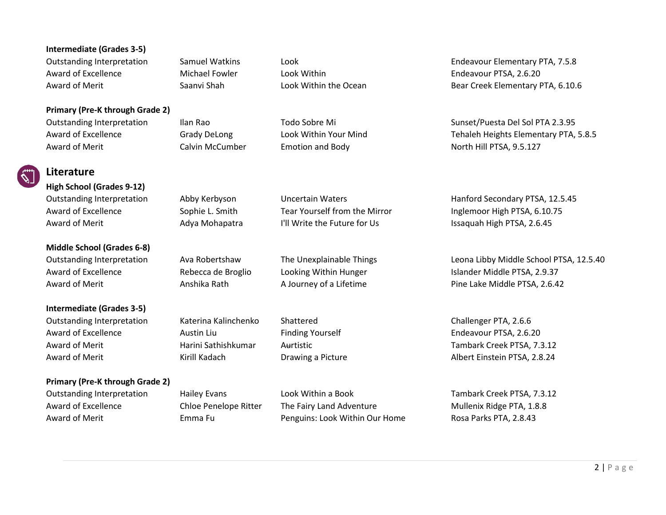#### **Intermediate (Grades 3-5)**

Award of Excellence **Michael Fowler** Look Within **Nichael Fowler** Look Within **Endeavour PTSA, 2.6.20** 

#### **Primary (Pre-K through Grade 2)**

Award of Merit **Example 2 Calvin McCumber** American and Body **Calvin Hill PTSA, 9.5.127** Award of Merit American Calvin McCumber

Outstanding Interpretation Samuel Watkins Look Endeavour Elementary PTA, 7.5.8 Award of Merit Saanvi Shah Look Within the Ocean Bear Creek Elementary PTA, 6.10.6

Outstanding Interpretation Ilan Rao Todo Sobre Mi Sunset/Puesta Del Sol PTA 2.3.95 Award of Excellence **Grady DeLong Look Within Your Mind** Tehaleh Heights Elementary PTA, 5.8.5

Outstanding Interpretation Abby Kerbyson Uncertain Waters **Hanford Secondary PTSA, 12.5.45** Award of Excellence Sophie L. Smith Tear Yourself from the Mirror Inglemoor High PTSA, 6.10.75 Award of Merit **Adya Mohapatra** I'll Write the Future for Us Issaquah High PTSA, 2.6.45

Outstanding Interpretation Ava Robertshaw The Unexplainable Things Leona Libby Middle School PTSA, 12.5.40 Award of Excellence **Rebecca de Broglio** Looking Within Hunger **Islander Middle PTSA, 2.9.37** Award of Merit **Anshika Rath A Journey of a Lifetime** Pine Lake Middle PTSA, 2.6.42

Award of Merit **Albert Einstein PTSA, 2.8.24 Communist Communist Communist Communist Albert Einstein PTSA, 2.8.24** 

## **Literature High School (Grades 9-12)**

**Middle School (Grades 6-8)**

**Intermediate (Grades 3-5)** Outstanding Interpretation Katerina Kalinchenko Shattered Challenger PTA, 2.6.6 Award of Excellence **Austin Liu** Finding Yourself **Endeavour PTSA, 2.6.20** Award of Merit **Aurtistic Harini Sathishkumar** Aurtistic **Number 2016** Tambark Creek PTSA, 7.3.12

#### **Primary (Pre-K through Grade 2)**

Outstanding Interpretation Hailey Evans Look Within a Book The Manuscript Creek PTSA, 7.3.12 Award of Excellence **Chloe Penelope Ritter** The Fairy Land Adventure Mullenix Ridge PTA, 1.8.8 Award of Merit **Emma Fu** Emma Fu Penguins: Look Within Our Home Rosa Parks PTA, 2.8.43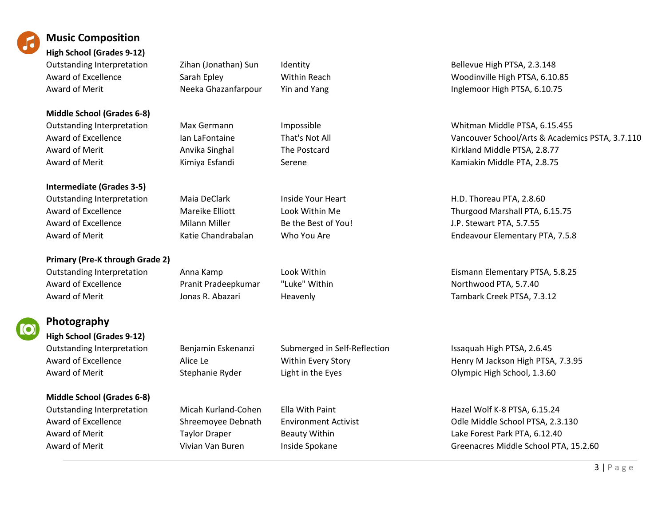

### **Music Composition**

**High School (Grades 9-12)**

**Middle School (Grades 6-8)** Award of Merit **Anxille Anvika Singhal** The Postcard **Anxille Anxille PTSA, 2.8.77 Anxille PTSA, 2.8.77** Award of Merit **August 2.8.75** Kimiya Esfandi Serene Kamiakin Middle PTA, 2.8.75

**Intermediate (Grades 3-5)** Outstanding Interpretation Maia DeClark Inside Your Heart H.D. Thoreau PTA, 2.8.60 Award of Excellence Milann Miller Bethe Best of You! J.P. Stewart PTA, 5.7.55

**Primary (Pre-K through Grade 2)** Award of Excellence **Pranit Pradeepkumar** "Luke" Within Northwood PTA, 5.7.40 Award of Merit **All Strutt Creek PTSA, 7.3.12** Ionas R. Abazari Heavenly **Heavenly** Tambark Creek PTSA, 7.3.12



## **Photography**

**High School (Grades 9-12)**

**Middle School (Grades 6-8)**

Outstanding Interpretation Benjamin Eskenanzi Submerged in Self-Reflection Issaquah High PTSA, 2.6.45 Award of Merit Stephanie Ryder Light in the Eyes Clympic High School, 1.3.60

Outstanding Interpretation Zihan (Jonathan) Sun Identity Chronic Bellevue High PTSA, 2.3.148 Award of Excellence Sarah Epley Nithin Reach Number of Excellence Sarah Epley Number 2016 Award of Merit **Neeka Ghazanfarpour** Yin and Yang **Inglemoor High PTSA, 6.10.75** 

Outstanding Interpretation Max Germann Impossible Whitman Middle PTSA, 6.15.455 Award of Excellence **Ian LaFontaine** Ian LaFontaine That's Not All Vancouver School/Arts & Academics PSTA, 3.7.110

Award of Excellence **Mareike Elliott** Look Within Me Thurgood Marshall PTA, 6.15.75 Award of Merit **Entergate Chandrabalan** Who You Are **Network Chandrabalan** Who You Are Endeavour Elementary PTA, 7.5.8

Outstanding Interpretation Anna Kamp Look Within Eismann Elementary PTSA, 5.8.25

Award of Excellence Alice Le Alice Le Within Every Story Henry M Jackson High PTSA, 7.3.95

Outstanding Interpretation Micah Kurland-Cohen Ella With Paint Hazel Wolf K-8 PTSA, 6.15.24 Award of Excellence Shreemoyee Debnath Environment Activist Colle Middle School PTSA, 2.3.130 Award of Merit **Example 2 Taylor Draper** Beauty Within **No. 2 12.40** Lake Forest Park PTA, 6.12.40 Award of Merit **Auch Clubscon Clubscon Clubscon Clubscon** Vivian Van Buren and Inside Spokane Greenacres Middle School PTA, 15.2.60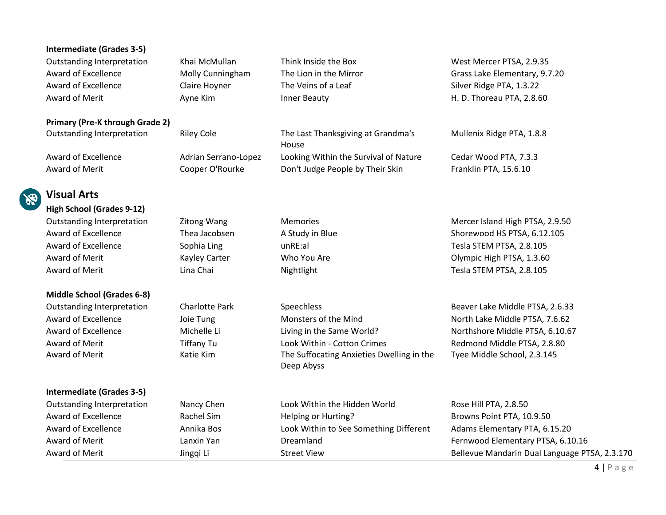|               | <b>Intermediate (Grades 3-5)</b>       |                       |                                                         |                                               |
|---------------|----------------------------------------|-----------------------|---------------------------------------------------------|-----------------------------------------------|
|               | <b>Outstanding Interpretation</b>      | Khai McMullan         | Think Inside the Box                                    | West Mercer PTSA, 2.9.35                      |
|               | Award of Excellence                    | Molly Cunningham      | The Lion in the Mirror                                  | Grass Lake Elementary, 9.7.20                 |
|               | Award of Excellence                    | Claire Hoyner         | The Veins of a Leaf                                     | Silver Ridge PTA, 1.3.22                      |
|               | Award of Merit                         | Ayne Kim              | Inner Beauty                                            | H. D. Thoreau PTA, 2.8.60                     |
|               | <b>Primary (Pre-K through Grade 2)</b> |                       |                                                         |                                               |
|               | <b>Outstanding Interpretation</b>      | <b>Riley Cole</b>     | The Last Thanksgiving at Grandma's<br>House             | Mullenix Ridge PTA, 1.8.8                     |
|               | Award of Excellence                    | Adrian Serrano-Lopez  | Looking Within the Survival of Nature                   | Cedar Wood PTA, 7.3.3                         |
|               | Award of Merit                         | Cooper O'Rourke       | Don't Judge People by Their Skin                        | Franklin PTA, 15.6.10                         |
|               | <b>Visual Arts</b>                     |                       |                                                         |                                               |
| $\mathscr{E}$ | <b>High School (Grades 9-12)</b>       |                       |                                                         |                                               |
|               | <b>Outstanding Interpretation</b>      | Zitong Wang           | <b>Memories</b>                                         | Mercer Island High PTSA, 2.9.50               |
|               | Award of Excellence                    | Thea Jacobsen         | A Study in Blue                                         | Shorewood HS PTSA, 6.12.105                   |
|               | Award of Excellence                    | Sophia Ling           | unRE:al                                                 | Tesla STEM PTSA, 2.8.105                      |
|               | Award of Merit                         | Kayley Carter         | Who You Are                                             | Olympic High PTSA, 1.3.60                     |
|               | Award of Merit                         | Lina Chai             | Nightlight                                              | Tesla STEM PTSA, 2.8.105                      |
|               | <b>Middle School (Grades 6-8)</b>      |                       |                                                         |                                               |
|               | <b>Outstanding Interpretation</b>      | <b>Charlotte Park</b> | Speechless                                              | Beaver Lake Middle PTSA, 2.6.33               |
|               | Award of Excellence                    | Joie Tung             | Monsters of the Mind                                    | North Lake Middle PTSA, 7.6.62                |
|               | Award of Excellence                    | Michelle Li           | Living in the Same World?                               | Northshore Middle PTSA, 6.10.67               |
|               | Award of Merit                         | <b>Tiffany Tu</b>     | Look Within - Cotton Crimes                             | Redmond Middle PTSA, 2.8.80                   |
|               | Award of Merit                         | Katie Kim             | The Suffocating Anxieties Dwelling in the<br>Deep Abyss | Tyee Middle School, 2.3.145                   |
|               | <b>Intermediate (Grades 3-5)</b>       |                       |                                                         |                                               |
|               | <b>Outstanding Interpretation</b>      | Nancy Chen            | Look Within the Hidden World                            | Rose Hill PTA, 2.8.50                         |
|               | Award of Excellence                    | Rachel Sim            | Helping or Hurting?                                     | Browns Point PTA, 10.9.50                     |
|               | Award of Excellence                    | Annika Bos            | Look Within to See Something Different                  | Adams Elementary PTA, 6.15.20                 |
|               | Award of Merit                         | Lanxin Yan            | Dreamland                                               | Fernwood Elementary PTSA, 6.10.16             |
|               | Award of Merit                         | Jingqi Li             | <b>Street View</b>                                      | Bellevue Mandarin Dual Language PTSA, 2.3.170 |
|               |                                        |                       |                                                         | $4   P \text{age}$                            |